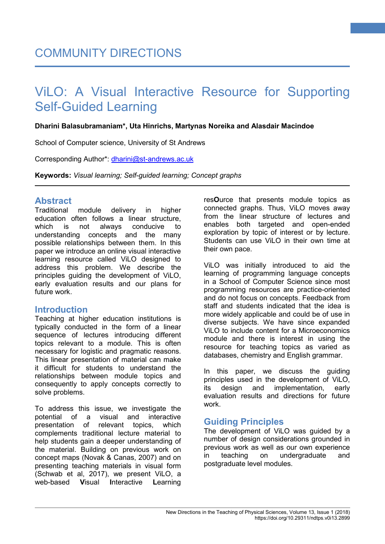# ViLO: A Visual Interactive Resource for Supporting Self-Guided Learning

## **Dharini Balasubramaniam\*, Uta Hinrichs, Martynas Noreika and Alasdair Macindoe**

School of Computer science, University of St Andrews

Corresponding Author\*: [dharini@st-andrews.ac.uk](mailto:dharini@st-andrews.ac.uk)

**Keywords:** *Visual learning; Self-guided learning; Concept graphs*

# **Abstract**

module delivery in higher education often follows a linear structure, which is not always conducive to understanding concepts and the many possible relationships between them. In this paper we introduce an online visual interactive learning resource called ViLO designed to address this problem. We describe the principles guiding the development of ViLO, early evaluation results and our plans for future work.

## **Introduction**

Teaching at higher education institutions is typically conducted in the form of a linear sequence of lectures introducing different topics relevant to a module. This is often necessary for logistic and pragmatic reasons. This linear presentation of material can make it difficult for students to understand the relationships between module topics and consequently to apply concepts correctly to solve problems.

To address this issue, we investigate the potential of a visual and interactive presentation of relevant topics, which complements traditional lecture material to help students gain a deeper understanding of the material. Building on previous work on concept maps (Novak & Canas, 2007) and on presenting teaching materials in visual form (Schwab et al, 2017), we present ViLO, a web-based **V**isual **I**nteractive **L**earning res**O**urce that presents module topics as connected graphs. Thus, ViLO moves away from the linear structure of lectures and enables both targeted and open-ended exploration by topic of interest or by lecture. Students can use ViLO in their own time at their own pace.

**1**

ViLO was initially introduced to aid the learning of programming language concepts in a School of Computer Science since most programming resources are practice-oriented and do not focus on concepts. Feedback from staff and students indicated that the idea is more widely applicable and could be of use in diverse subjects. We have since expanded ViLO to include content for a Microeconomics module and there is interest in using the resource for teaching topics as varied as databases, chemistry and English grammar.

In this paper, we discuss the guiding principles used in the development of ViLO, its design and implementation, early evaluation results and directions for future work.

# **Guiding Principles**

The development of ViLO was guided by a number of design considerations grounded in previous work as well as our own experience in teaching on undergraduate and postgraduate level modules.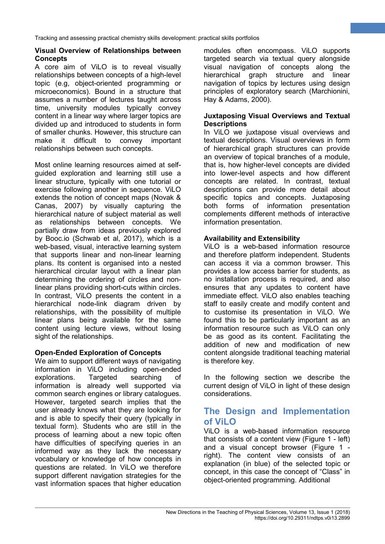## **Visual Overview of Relationships between Concepts**

A core aim of ViLO is to reveal visually relationships between concepts of a high-level topic (e.g, object-oriented programming or microeconomics). Bound in a structure that assumes a number of lectures taught across time, university modules typically convey content in a linear way where larger topics are divided up and introduced to students in form of smaller chunks. However, this structure can make it difficult to convey important relationships between such concepts.

Most online learning resources aimed at selfguided exploration and learning still use a linear structure, typically with one tutorial or exercise following another in sequence. ViLO extends the notion of concept maps (Novak & Canas, 2007) by visually capturing the hierarchical nature of subject material as well as relationships between concepts. We partially draw from ideas previously explored by Booc.io (Schwab et al, 2017), which is a web-based, visual, interactive learning system that supports linear and non-linear learning plans. Its content is organised into a nested hierarchical circular layout with a linear plan determining the ordering of circles and nonlinear plans providing short-cuts within circles. In contrast, ViLO presents the content in a hierarchical node-link diagram driven by relationships, with the possibility of multiple linear plans being available for the same content using lecture views, without losing sight of the relationships.

## **Open-Ended Exploration of Concepts**

We aim to support different ways of navigating information in ViLO including open-ended<br>explorations. Targeted searching of explorations. Targeted searching of information is already well supported via common search engines or library catalogues. However, targeted search implies that the user already knows what they are looking for and is able to specify their query (typically in textual form). Students who are still in the process of learning about a new topic often have difficulties of specifying queries in an informed way as they lack the necessary vocabulary or knowledge of how concepts in questions are related. In ViLO we therefore support different navigation strategies for the vast information spaces that higher education

modules often encompass. ViLO supports targeted search via textual query alongside visual navigation of concepts along the hierarchical graph structure and linear navigation of topics by lectures using design principles of exploratory search (Marchionini, Hay & Adams, 2000).

**2**

## **Juxtaposing Visual Overviews and Textual Descriptions**

In ViLO we juxtapose visual overviews and textual descriptions. Visual overviews in form of hierarchical graph structures can provide an overview of topical branches of a module, that is, how higher-level concepts are divided into lower-level aspects and how different concepts are related. In contrast, textual descriptions can provide more detail about specific topics and concepts. Juxtaposing both forms of information presentation complements different methods of interactive information presentation.

## **Availability and Extensibility**

ViLO is a web-based information resource and therefore platform independent. Students can access it via a common browser. This provides a low access barrier for students, as no installation process is required, and also ensures that any updates to content have immediate effect. ViLO also enables teaching staff to easily create and modify content and to customise its presentation in ViLO. We found this to be particularly important as an information resource such as ViLO can only be as good as its content. Facilitating the addition of new and modification of new content alongside traditional teaching material is therefore key.

In the following section we describe the current design of ViLO in light of these design considerations.

# **The Design and Implementation of ViLO**

ViLO is a web-based information resource that consists of a content view (Figure 1 - left) and a visual concept browser (Figure 1 right). The content view consists of an explanation (in blue) of the selected topic or concept, in this case the concept of "Class" in object-oriented programming. Additional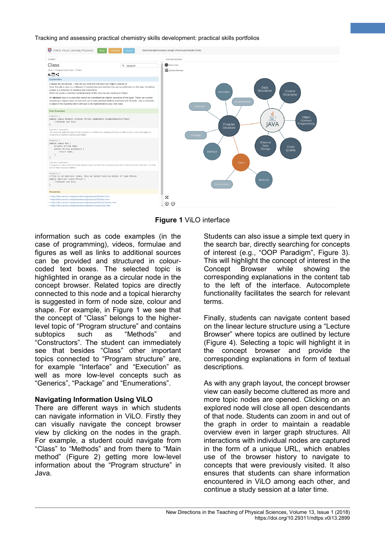

**Figure 1** ViLO interface

information such as code examples (in the case of programming), videos, formulae and figures as well as links to additional sources can be provided and structured in colourcoded text boxes. The selected topic is highlighted in orange as a circular node in the concept browser. Related topics are directly connected to this node and a topical hierarchy is suggested in form of node size, colour and shape. For example, in Figure 1 we see that the concept of "Class" belongs to the higherlevel topic of "Program structure" and contains subtopics such as "Methods" and "Constructors". The student can immediately see that besides "Class" other important topics connected to "Program structure" are, for example "Interface" and "Execution" as well as more low-level concepts such as "Generics", "Package" and "Enumerations".

#### **Navigating Information Using ViLO**

There are different ways in which students can navigate information in ViLO. Firstly they can visually navigate the concept browser view by clicking on the nodes in the graph. For example, a student could navigate from "Class" to "Methods" and from there to "Main method" (Figure 2) getting more low-level information about the "Program structure" in Java.

Students can also issue a simple text query in the search bar, directly searching for concepts of interest (e.g., "OOP Paradigm", Figure 3). This will highlight the concept of interest in the Concept Browser while showing the corresponding explanations in the content tab to the left of the interface. Autocomplete functionality facilitates the search for relevant terms.

**3**

Finally, students can navigate content based on the linear lecture structure using a "Lecture Browser" where topics are outlined by lecture (Figure 4). Selecting a topic will highlight it in the concept browser and provide the corresponding explanations in form of textual descriptions.

As with any graph layout, the concept browser view can easily become cluttered as more and more topic nodes are opened. Clicking on an explored node will close all open descendants of that node. Students can zoom in and out of the graph in order to maintain a readable overview even in larger graph structures. All interactions with individual nodes are captured in the form of a unique URL, which enables use of the browser history to navigate to concepts that were previously visited. It also ensures that students can share information encountered in ViLO among each other, and continue a study session at a later time.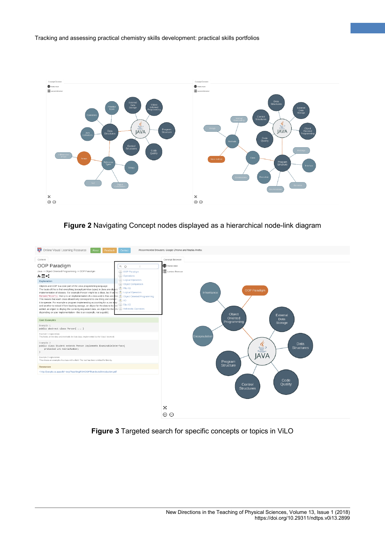

**4**

**Figure 2** Navigating Concept nodes displayed as a hierarchical node-link diagram



**Figure 3** Targeted search for specific concepts or topics in ViLO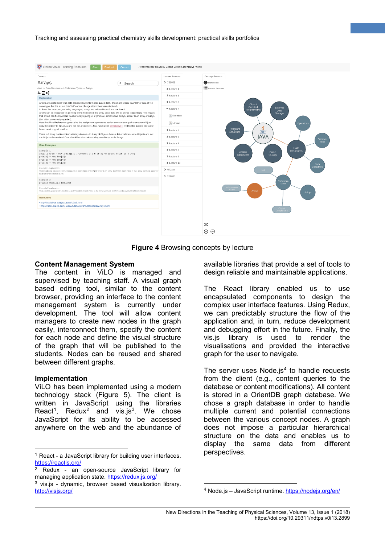

**Figure 4** Browsing concepts by lecture

### **Content Management System**

The content in ViLO is managed and supervised by teaching staff. A visual graph based editing tool, similar to the content browser, providing an interface to the content management system is currently under development. The tool will allow content managers to create new nodes in the graph easily, interconnect them, specify the content for each node and define the visual structure of the graph that will be published to the students. Nodes can be reused and shared between different graphs.

#### **Implementation**

ViLO has been implemented using a modern technology stack (Figure 5). The client is written in JavaScript using the libraries React<sup>[1](#page-4-0)</sup>, Redux<sup>[2](#page-4-1)</sup> and vis.js<sup>[3](#page-4-2)</sup>. We chose JavaScript for its ability to be accessed anywhere on the web and the abundance of

available libraries that provide a set of tools to design reliable and maintainable applications.

**5**

The React library enabled us to use encapsulated components to design the complex user interface features. Using Redux, we can predictably structure the flow of the application and, in turn, reduce development and debugging effort in the future. Finally, the vis.js library is used to render the visualisations and provided the interactive graph for the user to navigate.

The server uses Node.js $4$  to handle requests from the client (e.g., content queries to the database or content modifications). All content is stored in a OrientDB graph database. We chose a graph database in order to handle multiple current and potential connections between the various concept nodes. A graph does not impose a particular hierarchical structure on the data and enables us to display the same data from different perspectives.

<span id="page-4-0"></span> <sup>1</sup> React - a JavaScript library for building user interfaces. <https://reactjs.org/>

<span id="page-4-1"></span><sup>2</sup> Redux - an open-source JavaScript library for managing application state.<https://redux.js.org/>

<span id="page-4-3"></span><span id="page-4-2"></span><sup>3</sup> vis.js - dynamic, browser based visualization library. <http://visjs.org/>

 <sup>4</sup> Node.js – JavaScript runtime.<https://nodejs.org/en/>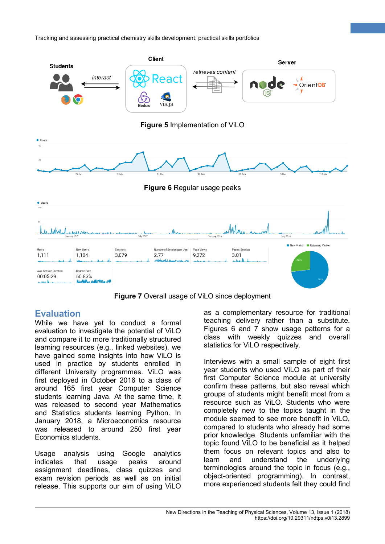

**Figure 7** Overall usage of ViLO since deployment

# **Evaluation**

While we have yet to conduct a formal evaluation to investigate the potential of ViLO and compare it to more traditionally structured learning resources (e.g., linked websites), we have gained some insights into how ViLO is used in practice by students enrolled in different University programmes. ViLO was first deployed in October 2016 to a class of around 165 first year Computer Science students learning Java. At the same time, it was released to second year Mathematics and Statistics students learning Python. In January 2018, a Microeconomics resource was released to around 250 first year Economics students.

Usage analysis using Google analytics indicates that usage peaks around assignment deadlines, class quizzes and exam revision periods as well as on initial release. This supports our aim of using ViLO as a complementary resource for traditional teaching delivery rather than a substitute. Figures 6 and 7 show usage patterns for a class with weekly quizzes and overall statistics for ViLO respectively.

**6**

Interviews with a small sample of eight first year students who used ViLO as part of their first Computer Science module at university confirm these patterns, but also reveal which groups of students might benefit most from a resource such as ViLO. Students who were completely new to the topics taught in the module seemed to see more benefit in ViLO, compared to students who already had some prior knowledge. Students unfamiliar with the topic found ViLO to be beneficial as it helped them focus on relevant topics and also to learn and understand the underlying terminologies around the topic in focus (e.g., object-oriented programming). In contrast, more experienced students felt they could find